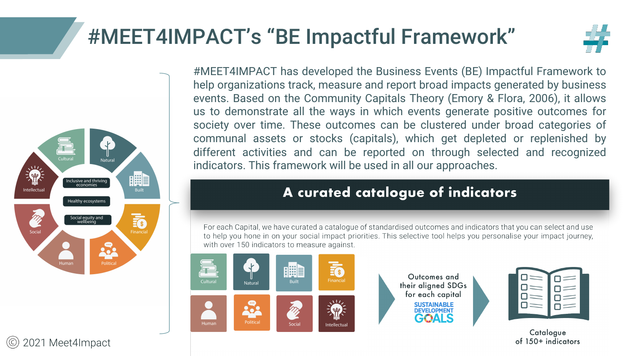## #MEET4IMPACT's "BE Impactful Framework"



#MEET4IMPACT has developed the Business Events (BE) Impactful Framework to help organizations track, measure and report broad impacts generated by business events. Based on the Community Capitals Theory (Emory & Flora, 2006), it allows us to demonstrate all the ways in which events generate positive outcomes for society over time. These outcomes can be clustered under broad categories of communal assets or stocks (capitals), which get depleted or replenished by different activities and can be reported on through selected and recognized indicators. This framework will be used in all our approaches.

## A curated catalogue of indicators

For each Capital, we have curated a catalogue of standardised outcomes and indicators that you can select and use to help you hone in on your social impact priorities. This selective tool helps you personalise your impact journey, with over 150 indicators to measure against.



Outcomes and their aligned SDGs for each capital **SUSTAINABLE**<br>DEVELOPMENT GE'ALS



Catalogue of 150+ indicators



2021 Meet4Impact